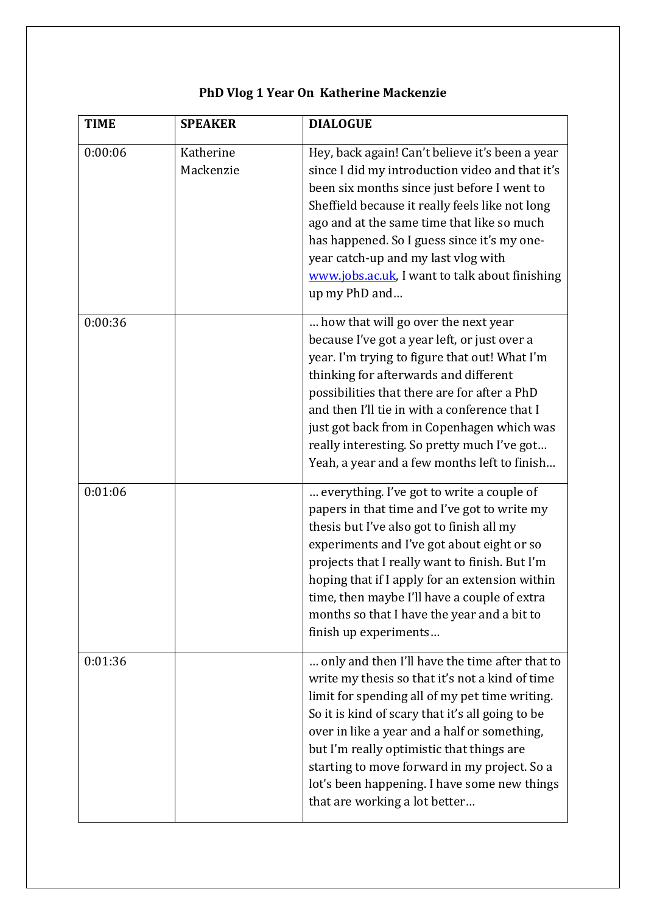| <b>TIME</b> | <b>SPEAKER</b>         | <b>DIALOGUE</b>                                                                                                                                                                                                                                                                                                                                                                                                                       |
|-------------|------------------------|---------------------------------------------------------------------------------------------------------------------------------------------------------------------------------------------------------------------------------------------------------------------------------------------------------------------------------------------------------------------------------------------------------------------------------------|
| 0:00:06     | Katherine<br>Mackenzie | Hey, back again! Can't believe it's been a year<br>since I did my introduction video and that it's<br>been six months since just before I went to<br>Sheffield because it really feels like not long<br>ago and at the same time that like so much<br>has happened. So I guess since it's my one-<br>year catch-up and my last vlog with<br>www.jobs.ac.uk, I want to talk about finishing<br>up my PhD and                           |
| 0:00:36     |                        | how that will go over the next year<br>because I've got a year left, or just over a<br>year. I'm trying to figure that out! What I'm<br>thinking for afterwards and different<br>possibilities that there are for after a PhD<br>and then I'll tie in with a conference that I<br>just got back from in Copenhagen which was<br>really interesting. So pretty much I've got<br>Yeah, a year and a few months left to finish           |
| 0:01:06     |                        | everything. I've got to write a couple of<br>papers in that time and I've got to write my<br>thesis but I've also got to finish all my<br>experiments and I've got about eight or so<br>projects that I really want to finish. But I'm<br>hoping that if I apply for an extension within<br>time, then maybe I'll have a couple of extra<br>months so that I have the year and a bit to<br>finish up experiments                      |
| 0:01:36     |                        | only and then I'll have the time after that to<br>write my thesis so that it's not a kind of time<br>limit for spending all of my pet time writing.<br>So it is kind of scary that it's all going to be<br>over in like a year and a half or something,<br>but I'm really optimistic that things are<br>starting to move forward in my project. So a<br>lot's been happening. I have some new things<br>that are working a lot better |

## **PhD Vlog 1 Year On Katherine Mackenzie**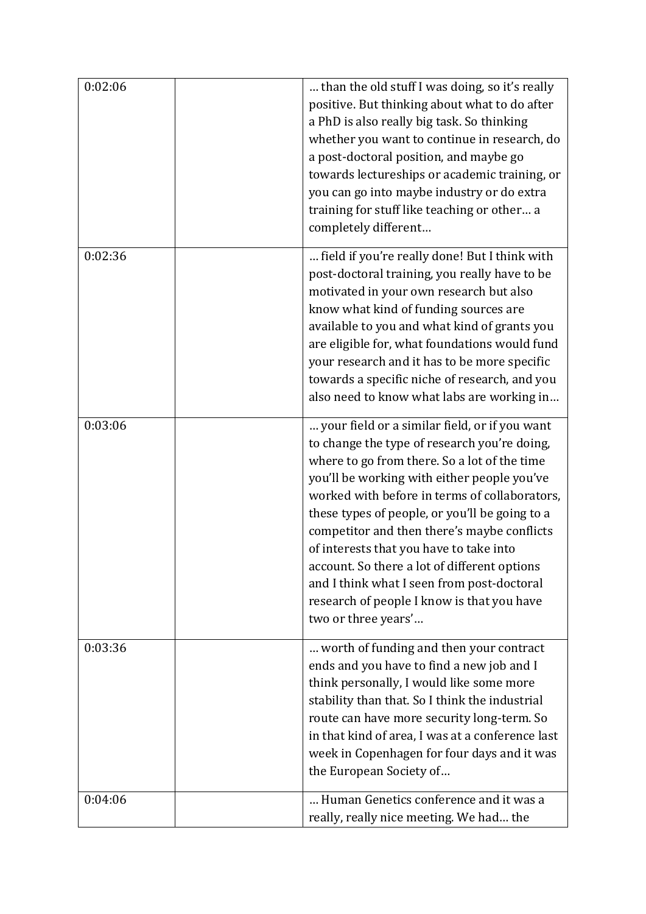| 0:02:06 | than the old stuff I was doing, so it's really   |
|---------|--------------------------------------------------|
|         | positive. But thinking about what to do after    |
|         | a PhD is also really big task. So thinking       |
|         | whether you want to continue in research, do     |
|         | a post-doctoral position, and maybe go           |
|         | towards lectureships or academic training, or    |
|         | you can go into maybe industry or do extra       |
|         | training for stuff like teaching or other a      |
|         | completely different                             |
|         |                                                  |
| 0:02:36 | field if you're really done! But I think with    |
|         | post-doctoral training, you really have to be    |
|         | motivated in your own research but also          |
|         | know what kind of funding sources are            |
|         | available to you and what kind of grants you     |
|         | are eligible for, what foundations would fund    |
|         | your research and it has to be more specific     |
|         | towards a specific niche of research, and you    |
|         | also need to know what labs are working in       |
|         |                                                  |
| 0:03:06 | your field or a similar field, or if you want    |
|         | to change the type of research you're doing,     |
|         | where to go from there. So a lot of the time     |
|         | you'll be working with either people you've      |
|         | worked with before in terms of collaborators,    |
|         | these types of people, or you'll be going to a   |
|         | competitor and then there's maybe conflicts      |
|         | of interests that you have to take into          |
|         | account. So there a lot of different options     |
|         | and I think what I seen from post-doctoral       |
|         | research of people I know is that you have       |
|         | two or three years'                              |
|         |                                                  |
| 0:03:36 | worth of funding and then your contract          |
|         | ends and you have to find a new job and I        |
|         | think personally, I would like some more         |
|         | stability than that. So I think the industrial   |
|         | route can have more security long-term. So       |
|         | in that kind of area, I was at a conference last |
|         | week in Copenhagen for four days and it was      |
|         | the European Society of                          |
| 0:04:06 | Human Genetics conference and it was a           |
|         | really, really nice meeting. We had the          |
|         |                                                  |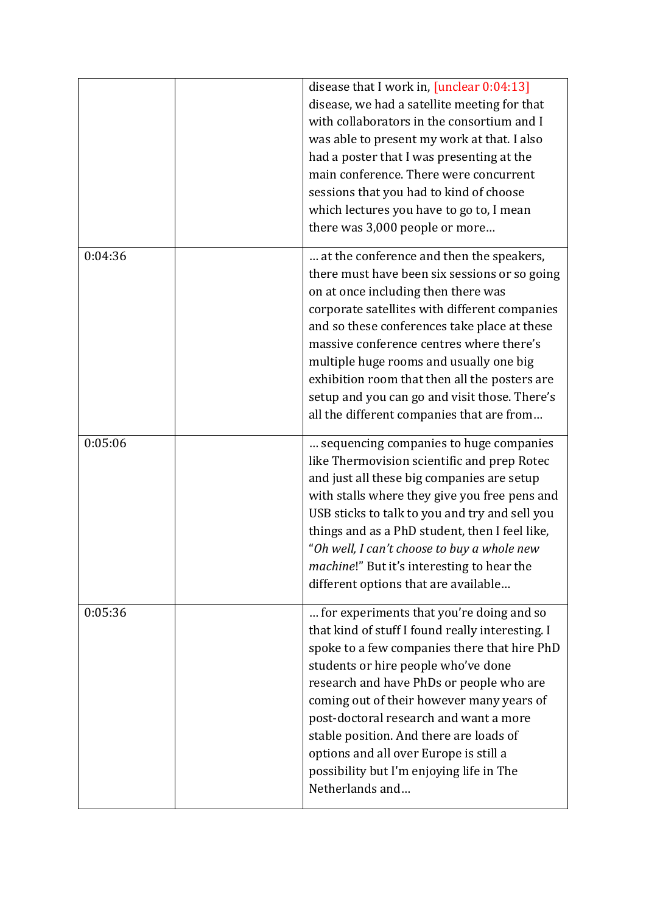|         | disease that I work in, [unclear 0:04:13]<br>disease, we had a satellite meeting for that<br>with collaborators in the consortium and I<br>was able to present my work at that. I also<br>had a poster that I was presenting at the<br>main conference. There were concurrent<br>sessions that you had to kind of choose<br>which lectures you have to go to, I mean<br>there was 3,000 people or more                                                                     |
|---------|----------------------------------------------------------------------------------------------------------------------------------------------------------------------------------------------------------------------------------------------------------------------------------------------------------------------------------------------------------------------------------------------------------------------------------------------------------------------------|
| 0:04:36 | at the conference and then the speakers,<br>there must have been six sessions or so going<br>on at once including then there was<br>corporate satellites with different companies<br>and so these conferences take place at these<br>massive conference centres where there's<br>multiple huge rooms and usually one big<br>exhibition room that then all the posters are<br>setup and you can go and visit those. There's<br>all the different companies that are from    |
| 0:05:06 | sequencing companies to huge companies<br>like Thermovision scientific and prep Rotec<br>and just all these big companies are setup<br>with stalls where they give you free pens and<br>USB sticks to talk to you and try and sell you<br>things and as a PhD student, then I feel like,<br>"Oh well, I can't choose to buy a whole new<br>machine!" But it's interesting to hear the<br>different options that are available                                              |
| 0:05:36 | for experiments that you're doing and so<br>that kind of stuff I found really interesting. I<br>spoke to a few companies there that hire PhD<br>students or hire people who've done<br>research and have PhDs or people who are<br>coming out of their however many years of<br>post-doctoral research and want a more<br>stable position. And there are loads of<br>options and all over Europe is still a<br>possibility but I'm enjoying life in The<br>Netherlands and |